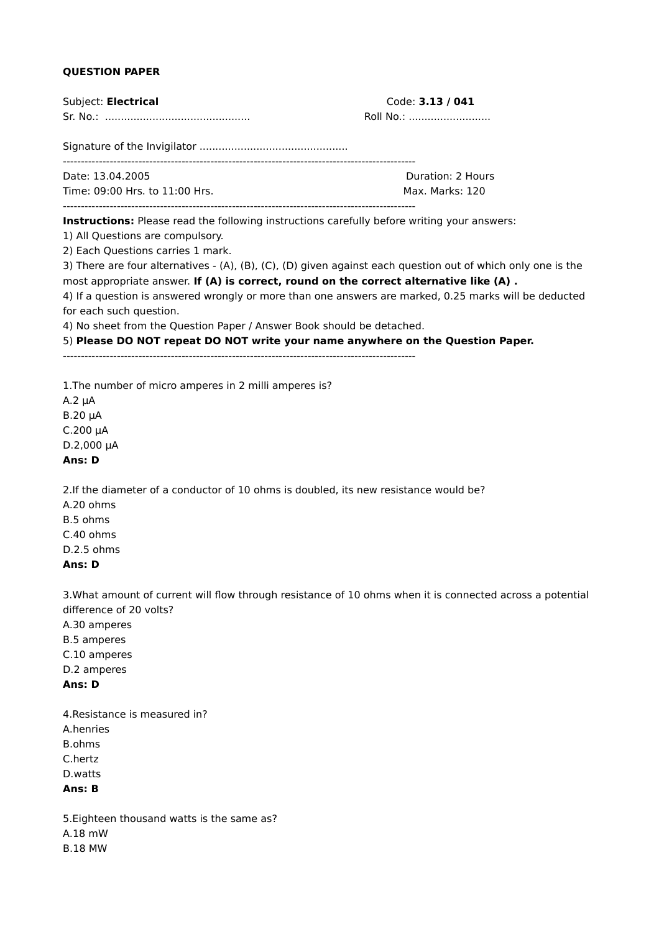# **QUESTION PAPER**

| Subject: Electrical                                                                         | Code: 3.13 / 041<br>Roll No.:                                                                                |
|---------------------------------------------------------------------------------------------|--------------------------------------------------------------------------------------------------------------|
|                                                                                             |                                                                                                              |
|                                                                                             |                                                                                                              |
| Date: 13.04.2005                                                                            | Duration: 2 Hours                                                                                            |
| Time: 09:00 Hrs. to 11:00 Hrs.                                                              | Max. Marks: 120                                                                                              |
| Instructions: Please read the following instructions carefully before writing your answers: |                                                                                                              |
| 1) All Questions are compulsory.                                                            |                                                                                                              |
| 2) Each Questions carries 1 mark.                                                           |                                                                                                              |
| most appropriate answer. If (A) is correct, round on the correct alternative like (A).      | 3) There are four alternatives - (A), (B), (C), (D) given against each question out of which only one is the |
|                                                                                             | 4) If a question is answered wrongly or more than one answers are marked, 0.25 marks will be deducted        |
| for each such question.                                                                     |                                                                                                              |
| 4) No sheet from the Question Paper / Answer Book should be detached.                       |                                                                                                              |
| 5) Please DO NOT repeat DO NOT write your name anywhere on the Question Paper.              |                                                                                                              |
|                                                                                             |                                                                                                              |
| 1. The number of micro amperes in 2 milli amperes is?                                       |                                                                                                              |
| $A.2 \mu A$                                                                                 |                                                                                                              |
| $B.20 \mu A$<br>$C.200 \mu A$                                                               |                                                                                                              |
| $D.2,000 \mu A$                                                                             |                                                                                                              |
| Ans: D                                                                                      |                                                                                                              |
| 2. If the diameter of a conductor of 10 ohms is doubled, its new resistance would be?       |                                                                                                              |
| A.20 ohms                                                                                   |                                                                                                              |
| B.5 ohms                                                                                    |                                                                                                              |
| C.40 ohms<br>D.2.5 ohms                                                                     |                                                                                                              |
| Ans: D                                                                                      |                                                                                                              |
|                                                                                             |                                                                                                              |
|                                                                                             | 3. What amount of current will flow through resistance of 10 ohms when it is connected across a potential    |
| difference of 20 volts?<br>A.30 amperes                                                     |                                                                                                              |
| B.5 amperes                                                                                 |                                                                                                              |
| C.10 amperes                                                                                |                                                                                                              |
| D.2 amperes                                                                                 |                                                                                                              |
| Ans: D                                                                                      |                                                                                                              |
| 4. Resistance is measured in?                                                               |                                                                                                              |
| A.henries                                                                                   |                                                                                                              |
| B.ohms                                                                                      |                                                                                                              |
| C.hertz<br>D.watts                                                                          |                                                                                                              |
| Ans: B                                                                                      |                                                                                                              |
| 5. Eighteen thousand watts is the same as?                                                  |                                                                                                              |
| A.18 mW                                                                                     |                                                                                                              |
| <b>B.18 MW</b>                                                                              |                                                                                                              |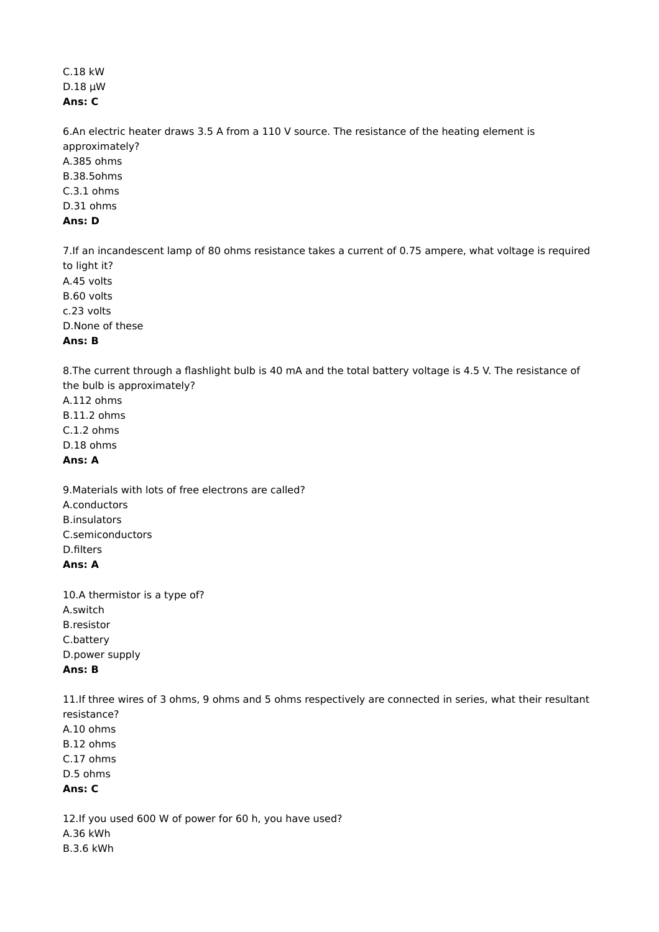# C.18 kW D.18 µW **Ans: C**

6.An electric heater draws 3.5 A from a 110 V source. The resistance of the heating element is approximately? A.385 ohms B.38.5ohms C.3.1 ohms D.31 ohms **Ans: D**

7.If an incandescent lamp of 80 ohms resistance takes a current of 0.75 ampere, what voltage is required to light it? A.45 volts B.60 volts c.23 volts D.None of these

#### **Ans: B**

8.The current through a flashlight bulb is 40 mA and the total battery voltage is 4.5 V. The resistance of the bulb is approximately?

A.112 ohms B.11.2 ohms C.1.2 ohms D.18 ohms **Ans: A**

9.Materials with lots of free electrons are called? A.conductors B.insulators C.semiconductors D.filters **Ans: A**

10.A thermistor is a type of? A.switch B.resistor C.battery D.power supply **Ans: B**

11.If three wires of 3 ohms, 9 ohms and 5 ohms respectively are connected in series, what their resultant resistance? A.10 ohms B.12 ohms C.17 ohms D.5 ohms **Ans: C**

12.If you used 600 W of power for 60 h, you have used? A.36 kWh B.3.6 kWh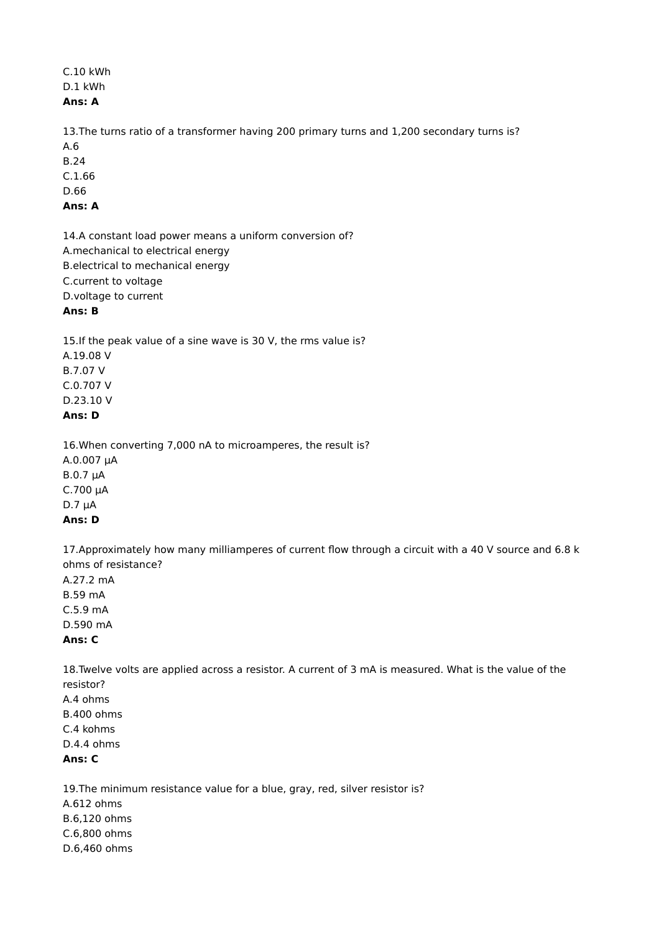## C.10 kWh D.1 kWh **Ans: A**

13.The turns ratio of a transformer having 200 primary turns and 1,200 secondary turns is? A.6 B.24

C.1.66 D.66

# **Ans: A**

14.A constant load power means a uniform conversion of? A.mechanical to electrical energy B.electrical to mechanical energy C.current to voltage D.voltage to current **Ans: B**

15.If the peak value of a sine wave is 30 V, the rms value is? A.19.08 V B.7.07 V C.0.707 V D.23.10 V

## **Ans: D**

16.When converting 7,000 nA to microamperes, the result is? A.0.007 µA B.0.7 µA  $C.700 \mu A$ D.7 µA **Ans: D**

17.Approximately how many milliamperes of current flow through a circuit with a 40 V source and 6.8 k ohms of resistance? A.27.2 mA

B.59 mA C.5.9 mA D.590 mA **Ans: C**

18.Twelve volts are applied across a resistor. A current of 3 mA is measured. What is the value of the resistor? A.4 ohms B.400 ohms C.4 kohms D.4.4 ohms

**Ans: C**

19.The minimum resistance value for a blue, gray, red, silver resistor is? A.612 ohms B.6,120 ohms C.6,800 ohms D.6,460 ohms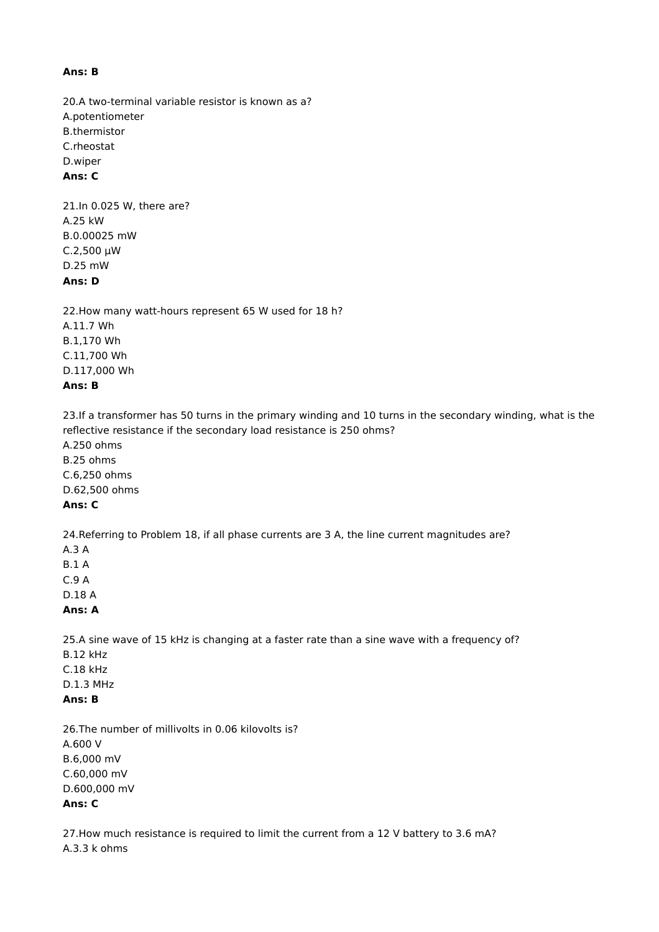#### **Ans: B**

20.A two-terminal variable resistor is known as a? A.potentiometer B.thermistor C.rheostat D.wiper **Ans: C**

21.In 0.025 W, there are? A.25 kW B.0.00025 mW C.2,500 µW D.25 mW **Ans: D**

22.How many watt-hours represent 65 W used for 18 h? A.11.7 Wh B.1,170 Wh C.11,700 Wh D.117,000 Wh **Ans: B**

23.If a transformer has 50 turns in the primary winding and 10 turns in the secondary winding, what is the reflective resistance if the secondary load resistance is 250 ohms?

A.250 ohms B.25 ohms C.6,250 ohms D.62,500 ohms **Ans: C**

24.Referring to Problem 18, if all phase currents are 3 A, the line current magnitudes are?

A.3 A B.1 A C.9 A D.18 A

## **Ans: A**

25.A sine wave of 15 kHz is changing at a faster rate than a sine wave with a frequency of? B.12 kHz C.18 kHz D.1.3 MHz **Ans: B**

26.The number of millivolts in 0.06 kilovolts is? A.600 V B.6,000 mV C.60,000 mV D.600,000 mV **Ans: C**

27.How much resistance is required to limit the current from a 12 V battery to 3.6 mA? A.3.3 k ohms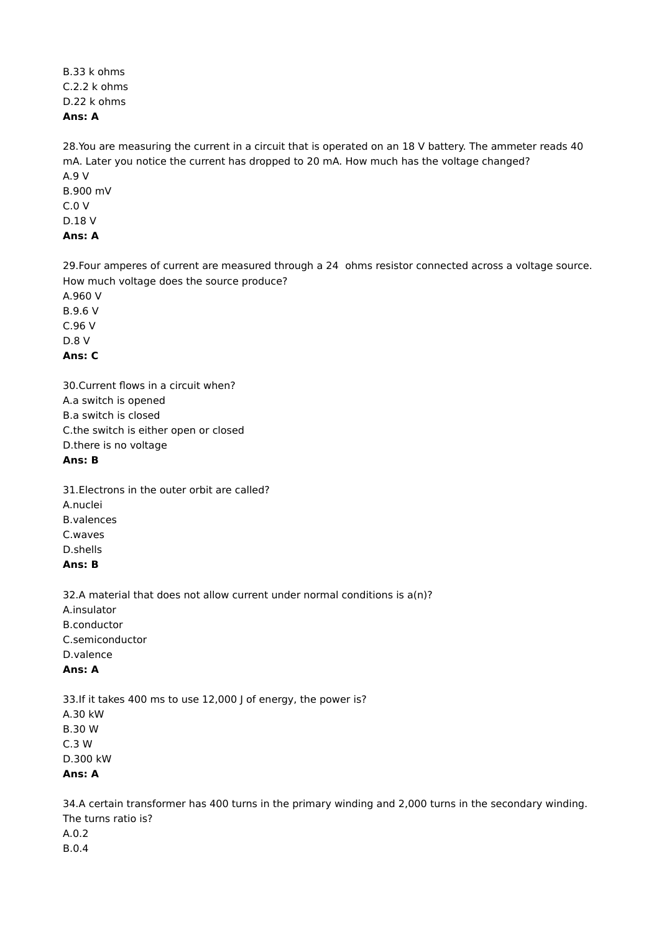B.33 k ohms C.2.2 k ohms D.22 k ohms **Ans: A**

28.You are measuring the current in a circuit that is operated on an 18 V battery. The ammeter reads 40 mA. Later you notice the current has dropped to 20 mA. How much has the voltage changed? A.9 V B.900 mV C.0 V D.18 V **Ans: A**

29.Four amperes of current are measured through a 24 ohms resistor connected across a voltage source. How much voltage does the source produce? A.960 V

B.9.6 V C.96 V D.8 V **Ans: C**

30.Current flows in a circuit when? A.a switch is opened B.a switch is closed C.the switch is either open or closed D.there is no voltage **Ans: B**

31.Electrons in the outer orbit are called? A.nuclei B.valences C.waves D.shells **Ans: B**

32.A material that does not allow current under normal conditions is a(n)? A.insulator B.conductor C.semiconductor D.valence **Ans: A**

33.If it takes 400 ms to use 12,000 J of energy, the power is? A.30 kW B.30 W C.3 W D.300 kW **Ans: A**

34.A certain transformer has 400 turns in the primary winding and 2,000 turns in the secondary winding. The turns ratio is? A.0.2 B.0.4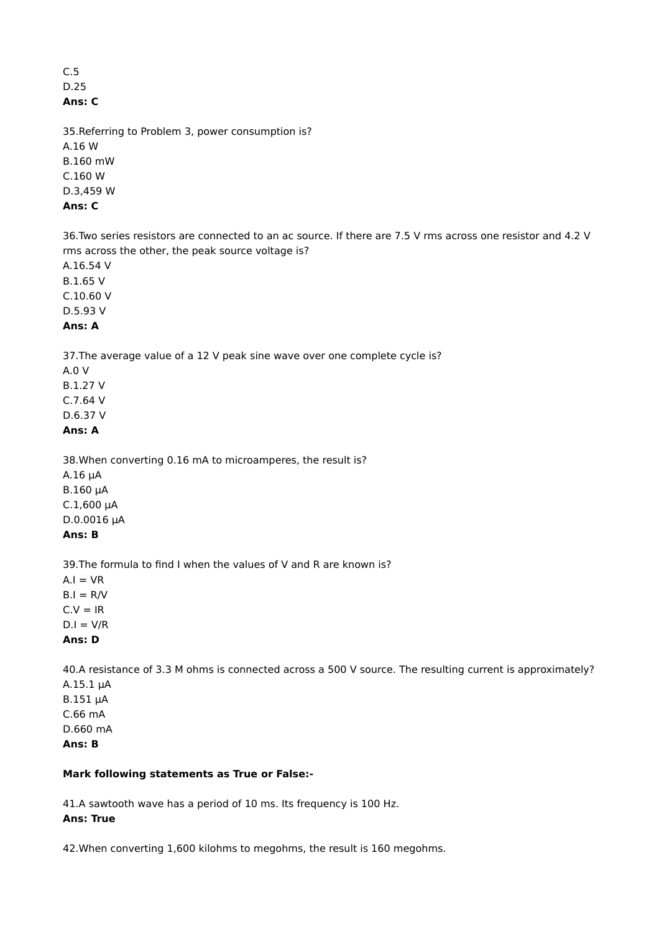#### C.5 D.25 **Ans: C**

35.Referring to Problem 3, power consumption is? A.16 W B.160 mW C.160 W D.3,459 W **Ans: C**

36.Two series resistors are connected to an ac source. If there are 7.5 V rms across one resistor and 4.2 V rms across the other, the peak source voltage is?

A.16.54 V B.1.65 V

C.10.60 V

D.5.93 V **Ans: A**

37.The average value of a 12 V peak sine wave over one complete cycle is?

A.0 V B.1.27 V C.7.64 V D.6.37 V **Ans: A**

38.When converting 0.16 mA to microamperes, the result is? A.16 µA B.160 µA  $C.1,600 \mu A$ D.0.0016 µA **Ans: B**

39.The formula to find I when the values of V and R are known is?  $A.I = VR$  $B.I = R/V$  $C.V = IR$  $D.I = V/R$ **Ans: D**

40.A resistance of 3.3 M ohms is connected across a 500 V source. The resulting current is approximately? A.15.1 µA B.151 µA C.66 mA D.660 mA **Ans: B**

## **Mark following statements as True or False:-**

41.A sawtooth wave has a period of 10 ms. Its frequency is 100 Hz. **Ans: True**

42.When converting 1,600 kilohms to megohms, the result is 160 megohms.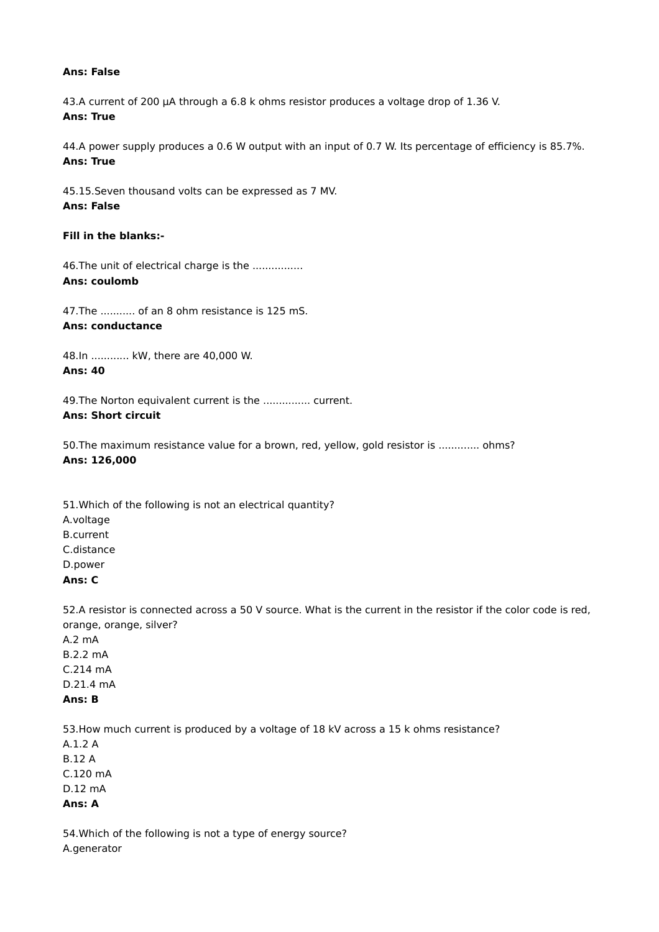#### **Ans: False**

43.A current of 200 µA through a 6.8 k ohms resistor produces a voltage drop of 1.36 V. **Ans: True**

44.A power supply produces a 0.6 W output with an input of 0.7 W. Its percentage of efficiency is 85.7%. **Ans: True**

45.15.Seven thousand volts can be expressed as 7 MV. **Ans: False**

#### **Fill in the blanks:-**

46. The unit of electrical charge is the ................ **Ans: coulomb**

47.The ........... of an 8 ohm resistance is 125 mS. **Ans: conductance**

48.In ............ kW, there are 40,000 W. **Ans: 40**

49.The Norton equivalent current is the ............... current. **Ans: Short circuit**

50.The maximum resistance value for a brown, red, yellow, gold resistor is ............. ohms? **Ans: 126,000**

51.Which of the following is not an electrical quantity? A.voltage B.current C.distance D.power **Ans: C**

52.A resistor is connected across a 50 V source. What is the current in the resistor if the color code is red, orange, orange, silver?

A.2 mA B.2.2 mA C.214 mA D.21.4 mA **Ans: B**

53.How much current is produced by a voltage of 18 kV across a 15 k ohms resistance? A.1.2 A B.12 A C.120 mA D.12 mA **Ans: A**

54.Which of the following is not a type of energy source? A.generator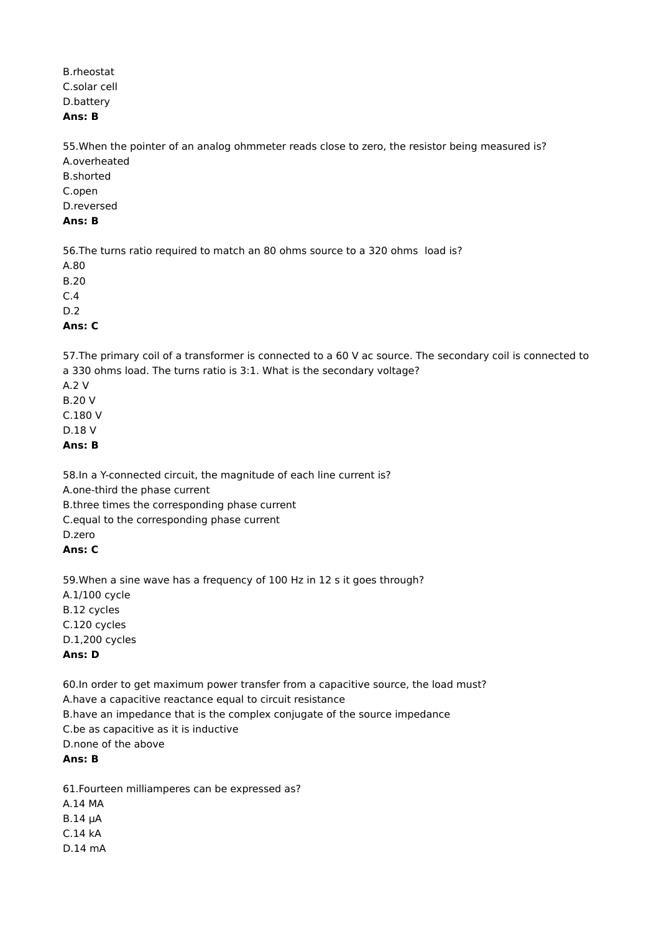B.rheostat C.solar cell D.battery **Ans: B**

55.When the pointer of an analog ohmmeter reads close to zero, the resistor being measured is? A.overheated

B.shorted C.open D.reversed

# **Ans: B**

56.The turns ratio required to match an 80 ohms source to a 320 ohms load is?

A.80

B.20

C.4

D.2 **Ans: C**

57.The primary coil of a transformer is connected to a 60 V ac source. The secondary coil is connected to a 330 ohms load. The turns ratio is 3:1. What is the secondary voltage?

A.2 V B.20 V C.180 V D.18 V

**Ans: B**

58.In a Y-connected circuit, the magnitude of each line current is? A.one-third the phase current B.three times the corresponding phase current C.equal to the corresponding phase current D.zero **Ans: C**

59.When a sine wave has a frequency of 100 Hz in 12 s it goes through? A.1/100 cycle B.12 cycles C.120 cycles D.1,200 cycles **Ans: D**

60.In order to get maximum power transfer from a capacitive source, the load must? A.have a capacitive reactance equal to circuit resistance B.have an impedance that is the complex conjugate of the source impedance C.be as capacitive as it is inductive D.none of the above **Ans: B**

61.Fourteen milliamperes can be expressed as? A.14 MA B.14 µA C.14 kA D.14 mA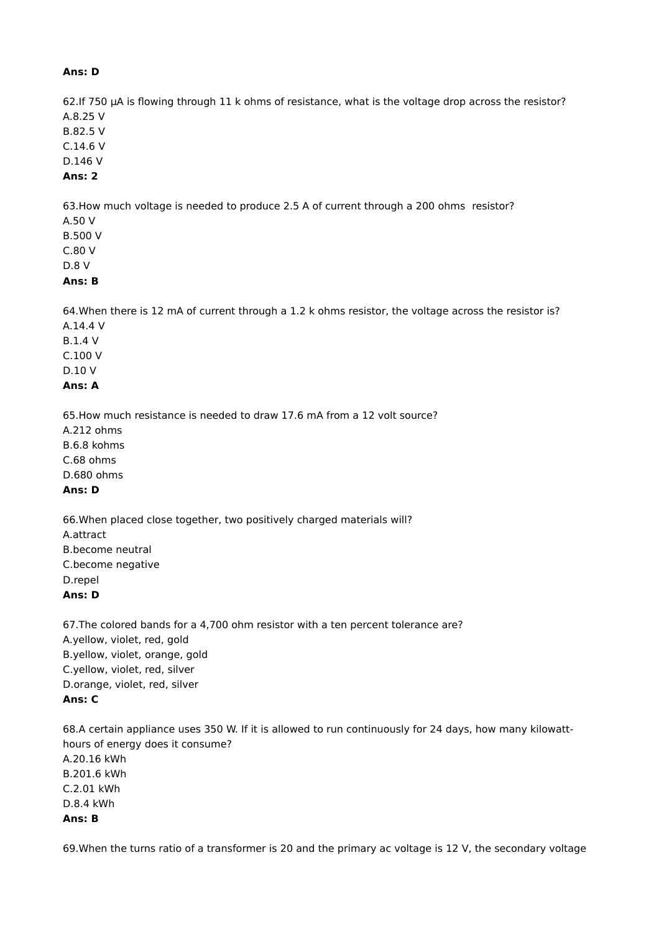#### **Ans: D**

62.If 750 µA is flowing through 11 k ohms of resistance, what is the voltage drop across the resistor? A.8.25 V B.82.5 V C.14.6 V D.146 V

**Ans: 2**

63.How much voltage is needed to produce 2.5 A of current through a 200 ohms resistor?

A.50 V B.500 V C.80 V D.8 V

#### **Ans: B**

64.When there is 12 mA of current through a 1.2 k ohms resistor, the voltage across the resistor is? A.14.4 V

B.1.4 V C.100 V D.10 V

# **Ans: A**

65.How much resistance is needed to draw 17.6 mA from a 12 volt source?

A.212 ohms B.6.8 kohms C.68 ohms D.680 ohms

# **Ans: D**

66.When placed close together, two positively charged materials will? A.attract B.become neutral C.become negative D.repel **Ans: D**

67.The colored bands for a 4,700 ohm resistor with a ten percent tolerance are? A.yellow, violet, red, gold B.yellow, violet, orange, gold C.yellow, violet, red, silver D.orange, violet, red, silver **Ans: C**

68.A certain appliance uses 350 W. If it is allowed to run continuously for 24 days, how many kilowatthours of energy does it consume? A.20.16 kWh B.201.6 kWh C.2.01 kWh D.8.4 kWh **Ans: B**

69.When the turns ratio of a transformer is 20 and the primary ac voltage is 12 V, the secondary voltage